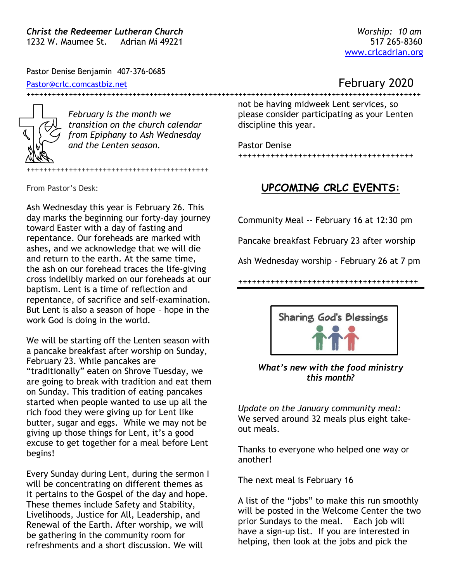Pastor Denise Benjamin 407-376-0685

[Pastor@crlc.comcastbiz.net](mailto:Pastor@crlc.comcastbiz.net) **Pastor@crlc.comcastbiz.net** 

*February is the month we transition on the church calendar from Epiphany to Ash Wednesday and the Lenten season.* 

+++++++++++++++++++++++++++++++++++++++++++

From Pastor's Desk:

Ash Wednesday this year is February 26. This day marks the beginning our forty-day journey toward Easter with a day of fasting and repentance. Our foreheads are marked with ashes, and we acknowledge that we will die and return to the earth. At the same time, the ash on our forehead traces the life-giving cross indelibly marked on our foreheads at our baptism. Lent is a time of reflection and repentance, of sacrifice and self-examination. But Lent is also a season of hope – hope in the work God is doing in the world.

We will be starting off the Lenten season with a pancake breakfast after worship on Sunday, February 23. While pancakes are "traditionally" eaten on Shrove Tuesday, we are going to break with tradition and eat them on Sunday. This tradition of eating pancakes started when people wanted to use up all the rich food they were giving up for Lent like butter, sugar and eggs. While we may not be giving up those things for Lent, it's a good excuse to get together for a meal before Lent begins!

Every Sunday during Lent, during the sermon I will be concentrating on different themes as it pertains to the Gospel of the day and hope. These themes include Safety and Stability, Livelihoods, Justice for All, Leadership, and Renewal of the Earth. After worship, we will be gathering in the community room for refreshments and a short discussion. We will

+++++++++++++++++++++++++++++++++++++++++++++++++++++++++++++++++++++++++++++++++++++++++++++ not be having midweek Lent services, so please consider participating as your Lenten

> Pastor Denise ++++++++++++++++++++++++++++++++++++++

discipline this year.

### **UPCOMING CRLC EVENTS:**

Community Meal -- February 16 at 12:30 pm

Pancake breakfast February 23 after worship

Ash Wednesday worship – February 26 at 7 pm

+++++++++++++++++++++++++++++++++++++++



#### *What's new with the food ministry this month?*

*Update on the January community meal:*  We served around 32 meals plus eight takeout meals.

Thanks to everyone who helped one way or another!

The next meal is February 16

A list of the "jobs" to make this run smoothly will be posted in the Welcome Center the two prior Sundays to the meal. Each job will have a sign-up list. If you are interested in helping, then look at the jobs and pick the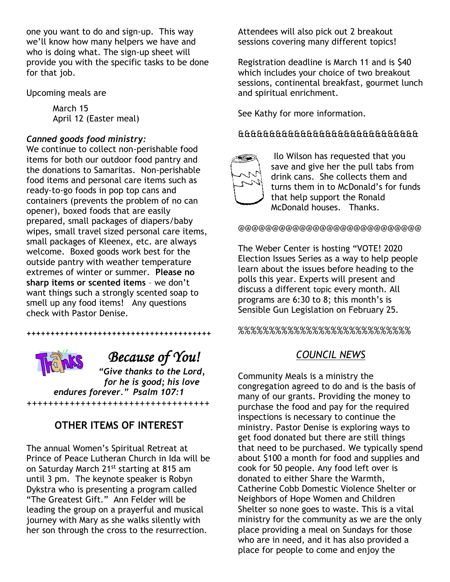one you want to do and sign-up. This way we'll know how many helpers we have and who is doing what. The sign-up sheet will provide you with the specific tasks to be done for that job.

Upcoming meals are

March 15 April 12 (Easter meal)

### *Canned goods food ministry:*

We continue to collect non-perishable food items for both our outdoor food pantry and the donations to Samaritas. Non-perishable food items and personal care items such as ready-to-go foods in pop top cans and containers (prevents the problem of no can opener), boxed foods that are easily prepared, small packages of diapers/baby wipes, small travel sized personal care items, small packages of Kleenex, etc. are always welcome. Boxed goods work best for the outside pantry with weather temperature extremes of winter or summer. **Please no sharp items or scented items** – we don't want things such a strongly scented soap to smell up any food items! Any questions check with Pastor Denise.



 *Because of You!*

*"Give thanks to the Lord, for he is good; his love endures forever." Psalm 107:1*

*+++++++++++++++++++++++++++++++++++++++*

## **OTHER ITEMS OF INTEREST**

++++++++++++++++++++++++++++++++++

The annual Women's Spiritual Retreat at Prince of Peace Lutheran Church in Ida will be on Saturday March 21<sup>st</sup> starting at 815 am until 3 pm. The keynote speaker is Robyn Dykstra who is presenting a program called "The Greatest Gift." Ann Felder will be leading the group on a prayerful and musical journey with Mary as she walks silently with her son through the cross to the resurrection.

Attendees will also pick out 2 breakout sessions covering many different topics!

Registration deadline is March 11 and is \$40 which includes your choice of two breakout sessions, continental breakfast, gourmet lunch and spiritual enrichment.

See Kathy for more information.

### &&&&&&&&&&&&&&&&&&&&&&&&&&&&&



Ilo Wilson has requested that you save and give her the pull tabs from drink cans. She collects them and turns them in to McDonald's for funds that help support the Ronald McDonald houses. Thanks.

@@@@@@@@@@@@@@@@@@@@@@@@@@@

The Weber Center is hosting "VOTE! 2020 Election Issues Series as a way to help people learn about the issues before heading to the polls this year. Experts will present and discuss a different topic every month. All programs are 6:30 to 8; this month's is Sensible Gun Legislation on February 25.

%%%%%%%%%%%%%%%%%%%%%%%%%%%%

# *COUNCIL NEWS*

Community Meals is a ministry the congregation agreed to do and is the basis of many of our grants. Providing the money to purchase the food and pay for the required inspections is necessary to continue the ministry. Pastor Denise is exploring ways to get food donated but there are still things that need to be purchased. We typically spend about \$100 a month for food and supplies and cook for 50 people. Any food left over is donated to either Share the Warmth, Catherine Cobb Domestic Violence Shelter or Neighbors of Hope Women and Children Shelter so none goes to waste. This is a vital ministry for the community as we are the only place providing a meal on Sundays for those who are in need, and it has also provided a place for people to come and enjoy the